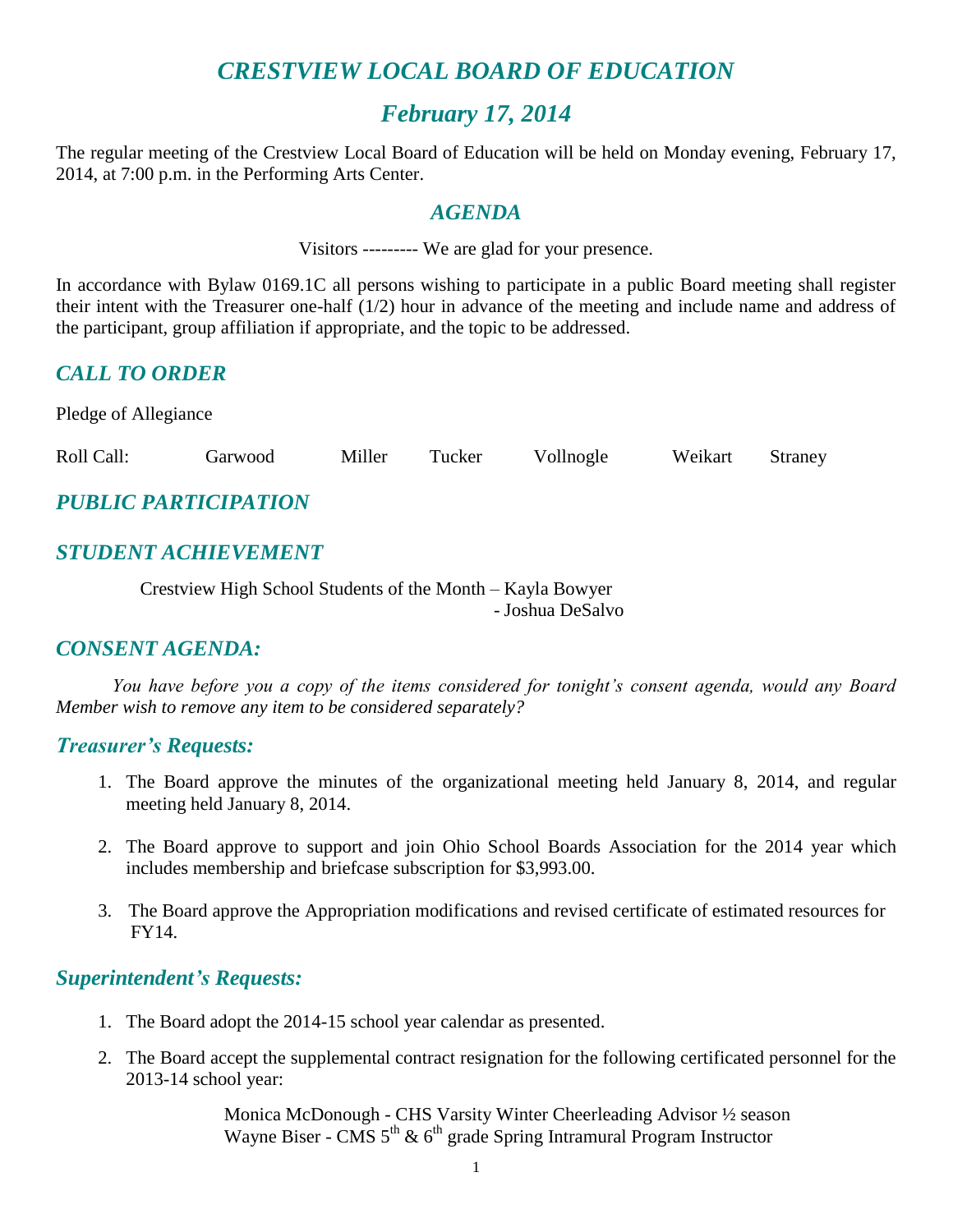# *CRESTVIEW LOCAL BOARD OF EDUCATION*

## *February 17, 2014*

The regular meeting of the Crestview Local Board of Education will be held on Monday evening, February 17, 2014, at 7:00 p.m. in the Performing Arts Center.

#### *AGENDA*

Visitors --------- We are glad for your presence.

In accordance with Bylaw 0169.1C all persons wishing to participate in a public Board meeting shall register their intent with the Treasurer one-half (1/2) hour in advance of the meeting and include name and address of the participant, group affiliation if appropriate, and the topic to be addressed.

## *CALL TO ORDER*

Pledge of Allegiance

Roll Call: Garwood Miller Tucker Vollnogle Weikart Straney

# *PUBLIC PARTICIPATION*

## *STUDENT ACHIEVEMENT*

Crestview High School Students of the Month – Kayla Bowyer

- Joshua DeSalvo

## *CONSENT AGENDA:*

*You have before you a copy of the items considered for tonight's consent agenda, would any Board Member wish to remove any item to be considered separately?*

#### *Treasurer's Requests:*

- 1. The Board approve the minutes of the organizational meeting held January 8, 2014, and regular meeting held January 8, 2014.
- 2. The Board approve to support and join Ohio School Boards Association for the 2014 year which includes membership and briefcase subscription for \$3,993.00.
- 3. The Board approve the Appropriation modifications and revised certificate of estimated resources for FY14.

## *Superintendent's Requests:*

- 1. The Board adopt the 2014-15 school year calendar as presented.
- 2. The Board accept the supplemental contract resignation for the following certificated personnel for the 2013-14 school year:

Monica McDonough - CHS Varsity Winter Cheerleading Advisor ½ season Wayne Biser - CMS  $5<sup>th</sup>$  &  $6<sup>th</sup>$  grade Spring Intramural Program Instructor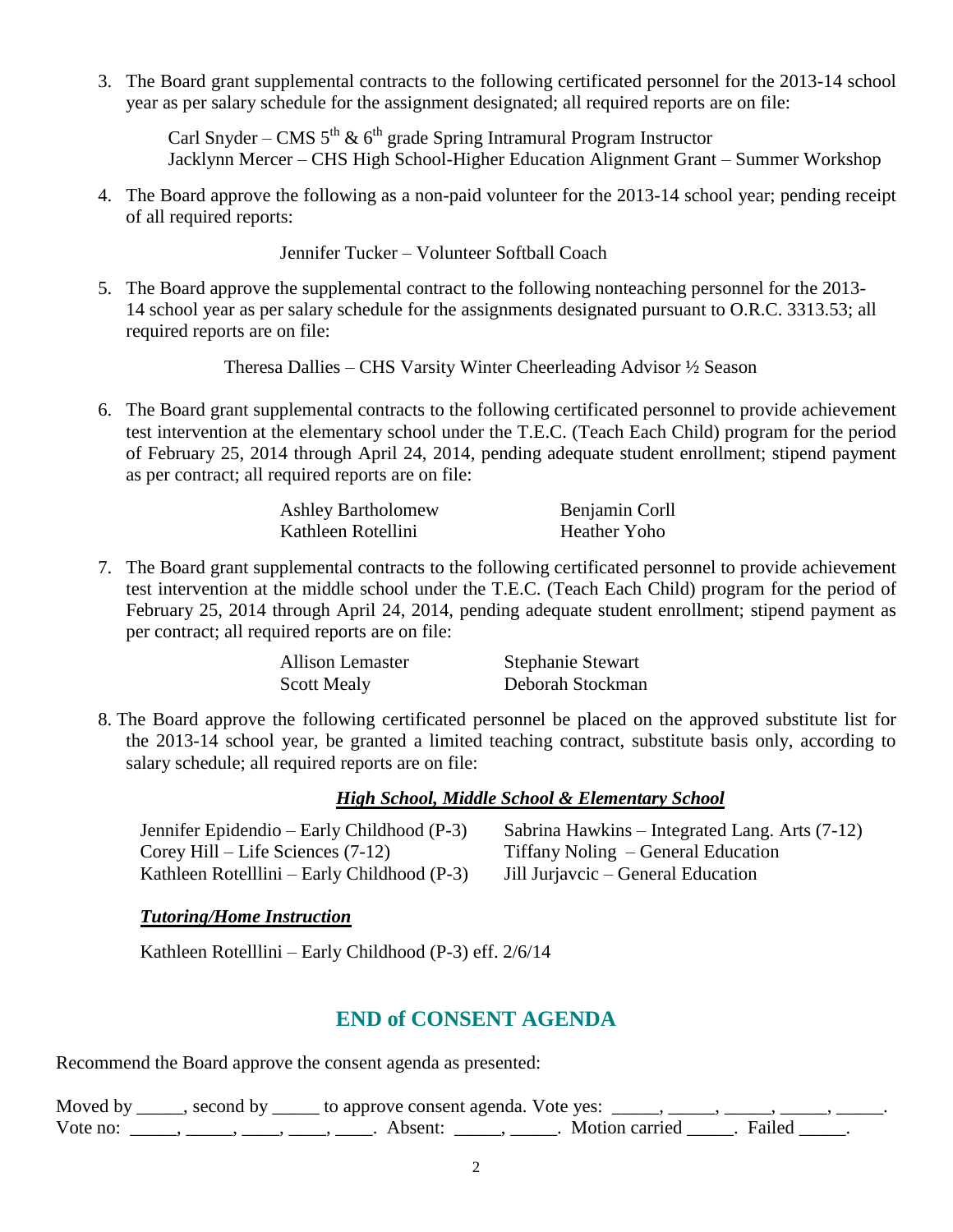3. The Board grant supplemental contracts to the following certificated personnel for the 2013-14 school year as per salary schedule for the assignment designated; all required reports are on file:

Carl Snyder – CMS  $5^{th}$  &  $6^{th}$  grade Spring Intramural Program Instructor Jacklynn Mercer – CHS High School-Higher Education Alignment Grant – Summer Workshop

4. The Board approve the following as a non-paid volunteer for the 2013-14 school year; pending receipt of all required reports:

Jennifer Tucker – Volunteer Softball Coach

5. The Board approve the supplemental contract to the following nonteaching personnel for the 2013- 14 school year as per salary schedule for the assignments designated pursuant to O.R.C. 3313.53; all required reports are on file:

Theresa Dallies – CHS Varsity Winter Cheerleading Advisor ½ Season

6. The Board grant supplemental contracts to the following certificated personnel to provide achievement test intervention at the elementary school under the T.E.C. (Teach Each Child) program for the period of February 25, 2014 through April 24, 2014, pending adequate student enrollment; stipend payment as per contract; all required reports are on file:

| <b>Ashley Bartholomew</b> | Benjamin Corll |
|---------------------------|----------------|
| Kathleen Rotellini        | Heather Yoho   |

7. The Board grant supplemental contracts to the following certificated personnel to provide achievement test intervention at the middle school under the T.E.C. (Teach Each Child) program for the period of February 25, 2014 through April 24, 2014, pending adequate student enrollment; stipend payment as per contract; all required reports are on file:

| Allison Lemaster   | <b>Stephanie Stewart</b> |
|--------------------|--------------------------|
| <b>Scott Mealy</b> | Deborah Stockman         |

8. The Board approve the following certificated personnel be placed on the approved substitute list for the 2013-14 school year, be granted a limited teaching contract, substitute basis only, according to salary schedule; all required reports are on file:

#### *High School, Middle School & Elementary School*

Jennifer Epidendio – Early Childhood (P-3) Sabrina Hawkins – Integrated Lang. Arts (7-12) Corey Hill – Life Sciences (7-12) Tiffany Noling – General Education Kathleen Rotelllini – Early Childhood (P-3) Jill Jurjavcic – General Education

#### *Tutoring/Home Instruction*

Kathleen Rotelllini – Early Childhood (P-3) eff. 2/6/14

## **END of CONSENT AGENDA**

Recommend the Board approve the consent agenda as presented:

|          | Moved by _____, second by _____ to approve consent agenda. Vote yes: |                       |  |
|----------|----------------------------------------------------------------------|-----------------------|--|
| Vote no: | Absent:                                                              | Motion carried Failed |  |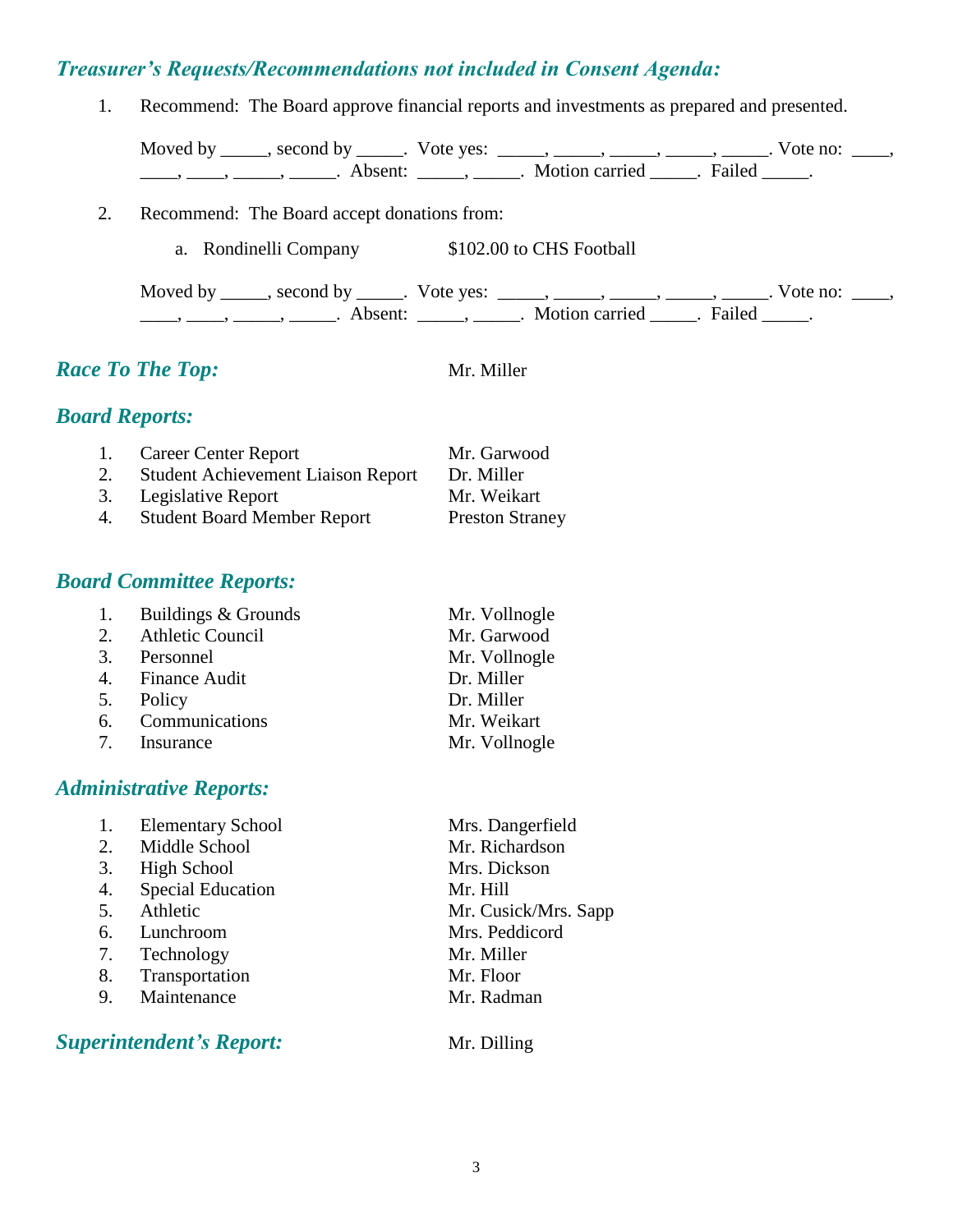### *Treasurer's Requests/Recommendations not included in Consent Agenda:*

1. Recommend: The Board approve financial reports and investments as prepared and presented.

Moved by \_\_\_\_\_, second by \_\_\_\_\_. Vote yes:  $\_\_\_\_\_\_\_\_\_\_\_\_\_\_\_$  \_\_\_\_\_, \_\_\_\_\_, \_\_\_\_\_. Vote no:  $\_\_\_\_\_\_\$ \_\_\_\_\_, \_\_\_\_\_\_, \_\_\_\_\_\_\_. Absent: \_\_\_\_\_\_, \_\_\_\_\_\_. Motion carried \_\_\_\_\_\_. Failed \_\_\_\_\_.

- 2. Recommend: The Board accept donations from:
	- a. Rondinelli Company \$102.00 to CHS Football

Moved by \_\_\_\_\_, second by \_\_\_\_\_. Vote yes:  $\_\_\_\_\_\_\_\_\_\_\_\_\_\_\_$  \_\_\_\_\_, \_\_\_\_\_, \_\_\_\_\_. Vote no:  $\_\_\_\_\_\_\$ \_\_\_\_\_, \_\_\_\_\_\_, \_\_\_\_\_\_\_. Absent: \_\_\_\_\_\_, \_\_\_\_\_\_. Motion carried \_\_\_\_\_\_. Failed \_\_\_\_\_.

## *Race To The Top:* Mr. Miller

## *Board Reports:*

|    | 1. Career Center Report                   | Mr. Garwood            |
|----|-------------------------------------------|------------------------|
| 2. | <b>Student Achievement Liaison Report</b> | Dr. Miller             |
|    | 3. Legislative Report                     | Mr. Weikart            |
| 4. | <b>Student Board Member Report</b>        | <b>Preston Straney</b> |

## *Board Committee Reports:*

|    | 1. Buildings & Grounds  | Mr. Vollnogle |
|----|-------------------------|---------------|
| 2. | <b>Athletic Council</b> | Mr. Garwood   |
|    | 3. Personnel            | Mr. Vollnogle |
|    | 4. Finance Audit        | Dr. Miller    |
|    | 5. Policy               | Dr. Miller    |
|    | 6. Communications       | Mr. Weikart   |
|    | 7. Insurance            | Mr. Vollnogle |

#### *Administrative Reports:*

|    | <b>Elementary School</b> | Mrs. Dangerfield     |
|----|--------------------------|----------------------|
| 2. | Middle School            | Mr. Richardson       |
| 3. | <b>High School</b>       | Mrs. Dickson         |
| 4. | <b>Special Education</b> | Mr. Hill             |
| 5. | Athletic                 | Mr. Cusick/Mrs. Sapp |
| 6. | Lunchroom                | Mrs. Peddicord       |
| 7. | Technology               | Mr. Miller           |
| 8. | Transportation           | Mr. Floor            |
| 9. | Maintenance              | Mr. Radman           |
|    |                          |                      |

**Superintendent's Report:** Mr. Dilling